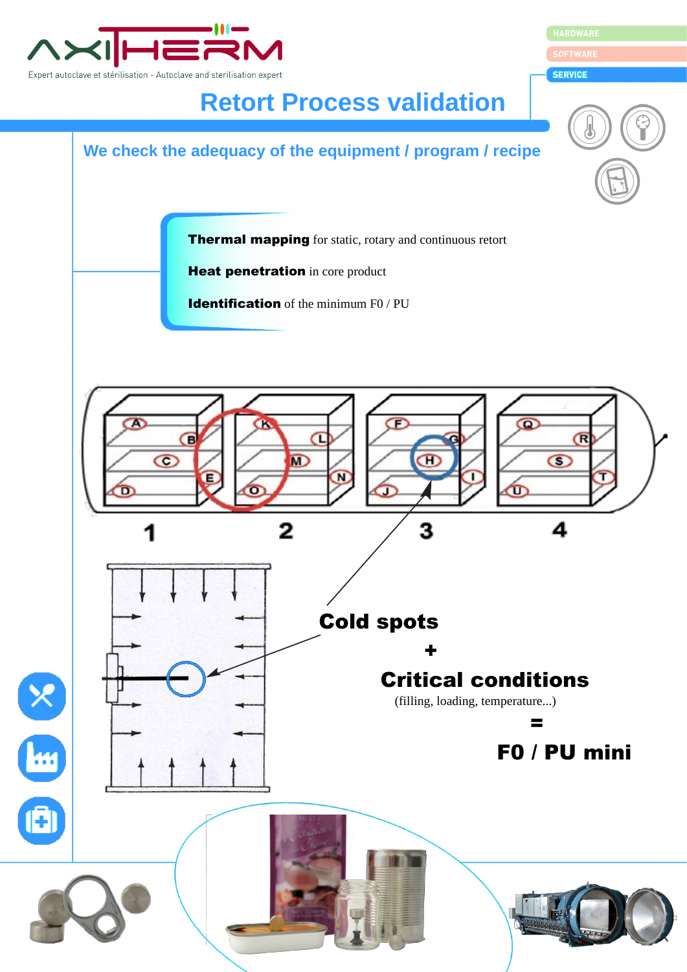

HARDWARE

**SERVICE** 

## **Retort Process validation**